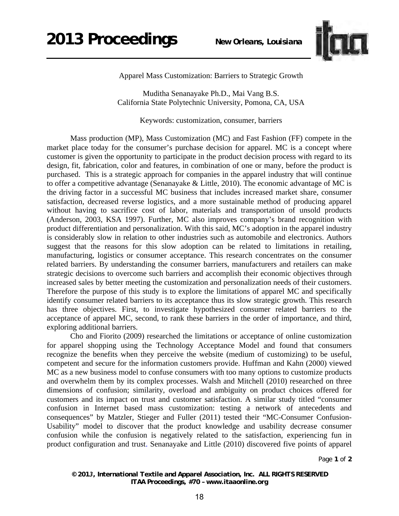

Apparel Mass Customization: Barriers to Strategic Growth

Muditha Senanayake Ph.D., Mai Vang B.S. California State Polytechnic University, Pomona, CA, USA

Keywords: customization, consumer, barriers

Mass production (MP), Mass Customization (MC) and Fast Fashion (FF) compete in the market place today for the consumer's purchase decision for apparel. MC is a concept where customer is given the opportunity to participate in the product decision process with regard to its design, fit, fabrication, color and features, in combination of one or many, before the product is purchased. This is a strategic approach for companies in the apparel industry that will continue to offer a competitive advantage (Senanayake & Little, 2010). The economic advantage of MC is the driving factor in a successful MC business that includes increased market share, consumer satisfaction, decreased reverse logistics, and a more sustainable method of producing apparel without having to sacrifice cost of labor, materials and transportation of unsold products (Anderson, 2003, KSA 1997). Further, MC also improves company's brand recognition with product differentiation and personalization. With this said, MC's adoption in the apparel industry is considerably slow in relation to other industries such as automobile and electronics. Authors suggest that the reasons for this slow adoption can be related to limitations in retailing, manufacturing, logistics or consumer acceptance. This research concentrates on the consumer related barriers. By understanding the consumer barriers, manufacturers and retailers can make strategic decisions to overcome such barriers and accomplish their economic objectives through increased sales by better meeting the customization and personalization needs of their customers. Therefore the purpose of this study is to explore the limitations of apparel MC and specifically identify consumer related barriers to its acceptance thus its slow strategic growth. This research has three objectives. First, to investigate hypothesized consumer related barriers to the acceptance of apparel MC, second, to rank these barriers in the order of importance, and third, exploring additional barriers.

Cho and Fiorito (2009) researched the limitations or acceptance of online customization for apparel shopping using the Technology Acceptance Model and found that consumers recognize the benefits when they perceive the website (medium of customizing) to be useful, competent and secure for the information customers provide. Huffman and Kahn (2000) viewed MC as a new business model to confuse consumers with too many options to customize products and overwhelm them by its complex processes. Walsh and Mitchell (2010) researched on three dimensions of confusion; similarity, overload and ambiguity on product choices offered for customers and its impact on trust and customer satisfaction. A similar study titled "consumer confusion in Internet based mass customization: testing a network of antecedents and consequences" by Matzler, Stieger and Fuller (2011) tested their "MC-Consumer Confusion-Usability" model to discover that the product knowledge and usability decrease consumer confusion while the confusion is negatively related to the satisfaction, experiencing fun in product configuration and trust. Senanayake and Little (2010) discovered five points of apparel

Page **1** of **2** 

*© 2013, International Textile and Apparel Association, Inc. ALL RIGHTS RESERVED ITAA Proceedings, #70 – www.itaaonline.org*